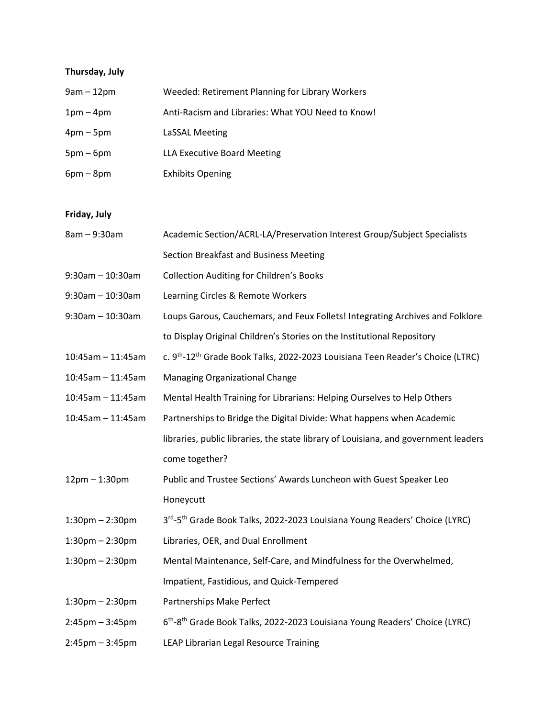## **Thursday, July**

| $9am - 12pm$ | Weeded: Retirement Planning for Library Workers   |
|--------------|---------------------------------------------------|
| $1pm-4pm$    | Anti-Racism and Libraries: What YOU Need to Know! |
| $4pm-5pm$    | LaSSAL Meeting                                    |
| $5pm-6pm$    | LLA Executive Board Meeting                       |
| $6pm - 8pm$  | <b>Exhibits Opening</b>                           |

## **Friday, July**

| 8am - 9:30am          | Academic Section/ACRL-LA/Preservation Interest Group/Subject Specialists                               |
|-----------------------|--------------------------------------------------------------------------------------------------------|
|                       | Section Breakfast and Business Meeting                                                                 |
| $9:30$ am - 10:30am   | <b>Collection Auditing for Children's Books</b>                                                        |
| $9:30$ am - 10:30am   | Learning Circles & Remote Workers                                                                      |
| $9:30$ am - 10:30am   | Loups Garous, Cauchemars, and Feux Follets! Integrating Archives and Folklore                          |
|                       | to Display Original Children's Stories on the Institutional Repository                                 |
| $10:45am - 11:45am$   | c. 9 <sup>th</sup> -12 <sup>th</sup> Grade Book Talks, 2022-2023 Louisiana Teen Reader's Choice (LTRC) |
| $10:45am - 11:45am$   | Managing Organizational Change                                                                         |
| $10:45am - 11:45am$   | Mental Health Training for Librarians: Helping Ourselves to Help Others                                |
| $10:45$ am - 11:45am  | Partnerships to Bridge the Digital Divide: What happens when Academic                                  |
|                       | libraries, public libraries, the state library of Louisiana, and government leaders                    |
|                       | come together?                                                                                         |
| $12pm - 1:30pm$       | Public and Trustee Sections' Awards Luncheon with Guest Speaker Leo                                    |
|                       | Honeycutt                                                                                              |
| $1:30$ pm $- 2:30$ pm | 3rd-5th Grade Book Talks, 2022-2023 Louisiana Young Readers' Choice (LYRC)                             |
| $1:30$ pm $- 2:30$ pm | Libraries, OER, and Dual Enrollment                                                                    |
| $1:30$ pm $- 2:30$ pm | Mental Maintenance, Self-Care, and Mindfulness for the Overwhelmed,                                    |
|                       | Impatient, Fastidious, and Quick-Tempered                                                              |
| $1:30$ pm $- 2:30$ pm | Partnerships Make Perfect                                                                              |
| $2:45$ pm $-3:45$ pm  | 6 <sup>th</sup> -8 <sup>th</sup> Grade Book Talks, 2022-2023 Louisiana Young Readers' Choice (LYRC)    |
| $2:45$ pm $-3:45$ pm  | LEAP Librarian Legal Resource Training                                                                 |